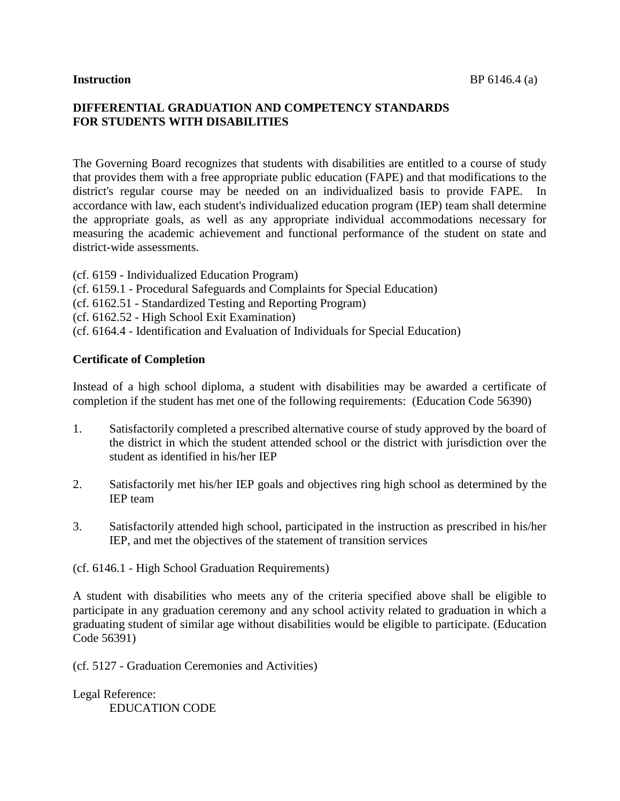## **DIFFERENTIAL GRADUATION AND COMPETENCY STANDARDS FOR STUDENTS WITH DISABILITIES**

The Governing Board recognizes that students with disabilities are entitled to a course of study that provides them with a free appropriate public education (FAPE) and that modifications to the district's regular course may be needed on an individualized basis to provide FAPE. In accordance with law, each student's individualized education program (IEP) team shall determine the appropriate goals, as well as any appropriate individual accommodations necessary for measuring the academic achievement and functional performance of the student on state and district-wide assessments.

(cf. 6159 - Individualized Education Program) (cf. 6159.1 - Procedural Safeguards and Complaints for Special Education) (cf. 6162.51 - Standardized Testing and Reporting Program) (cf. 6162.52 - High School Exit Examination) (cf. 6164.4 - Identification and Evaluation of Individuals for Special Education)

## **Certificate of Completion**

Instead of a high school diploma, a student with disabilities may be awarded a certificate of completion if the student has met one of the following requirements: (Education Code 56390)

- 1. Satisfactorily completed a prescribed alternative course of study approved by the board of the district in which the student attended school or the district with jurisdiction over the student as identified in his/her IEP
- 2. Satisfactorily met his/her IEP goals and objectives ring high school as determined by the IEP team
- 3. Satisfactorily attended high school, participated in the instruction as prescribed in his/her IEP, and met the objectives of the statement of transition services

(cf. 6146.1 - High School Graduation Requirements)

A student with disabilities who meets any of the criteria specified above shall be eligible to participate in any graduation ceremony and any school activity related to graduation in which a graduating student of similar age without disabilities would be eligible to participate. (Education Code 56391)

(cf. 5127 - Graduation Ceremonies and Activities)

Legal Reference: EDUCATION CODE